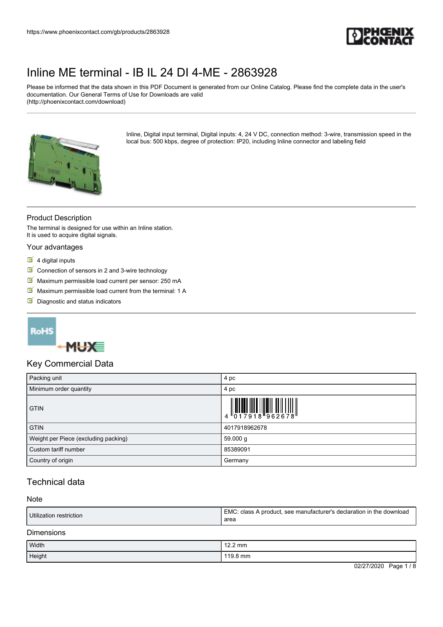

Please be informed that the data shown in this PDF Document is generated from our Online Catalog. Please find the complete data in the user's documentation. Our General Terms of Use for Downloads are valid (http://phoenixcontact.com/download)



Inline, Digital input terminal, Digital inputs: 4, 24 V DC, connection method: 3-wire, transmission speed in the local bus: 500 kbps, degree of protection: IP20, including Inline connector and labeling field

### Product Description

The terminal is designed for use within an Inline station. It is used to acquire digital signals.

#### Your advantages

- $\overline{\phantom{a}}$  4 digital inputs
- $\triangleright$  Connection of sensors in 2 and 3-wire technology
- Maximum permissible load current per sensor: 250 mA
- $M$  Maximum permissible load current from the terminal: 1 A
- Diagnostic and status indicators

### **RoHS**



### Key Commercial Data

| Packing unit                         | 4 pc                                                                                                                                                                                                                                                                                                                           |
|--------------------------------------|--------------------------------------------------------------------------------------------------------------------------------------------------------------------------------------------------------------------------------------------------------------------------------------------------------------------------------|
| Minimum order quantity               | 4 pc                                                                                                                                                                                                                                                                                                                           |
| <b>GTIN</b>                          | $\begin{array}{c} 1 & 0 & 0 & 0 \\ 0 & 1 & 0 & 0 \\ 0 & 1 & 0 & 1 \\ 0 & 0 & 0 & 0 \\ 0 & 0 & 0 & 0 \\ 0 & 0 & 0 & 0 \\ 0 & 0 & 0 & 0 \\ 0 & 0 & 0 & 0 \\ 0 & 0 & 0 & 0 \\ 0 & 0 & 0 & 0 \\ 0 & 0 & 0 & 0 \\ 0 & 0 & 0 & 0 \\ 0 & 0 & 0 & 0 & 0 \\ 0 & 0 & 0 & 0 & 0 \\ 0 & 0 & 0 & 0 & 0 \\ 0 & 0 & 0 & 0 & 0 & 0 \\ 0 & 0 &$ |
| <b>GTIN</b>                          | 4017918962678                                                                                                                                                                                                                                                                                                                  |
| Weight per Piece (excluding packing) | 59.000 g                                                                                                                                                                                                                                                                                                                       |
| Custom tariff number                 | 85389091                                                                                                                                                                                                                                                                                                                       |
| Country of origin                    | Germany                                                                                                                                                                                                                                                                                                                        |

### Technical data

#### Note

| Utilization restriction | EMC: class A product, see manufacturer's declaration in the download<br>area |
|-------------------------|------------------------------------------------------------------------------|
| <b>Dimensions</b>       |                                                                              |
| Width                   | $12.2 \text{ mm}$                                                            |
| Height                  | 119.8 mm                                                                     |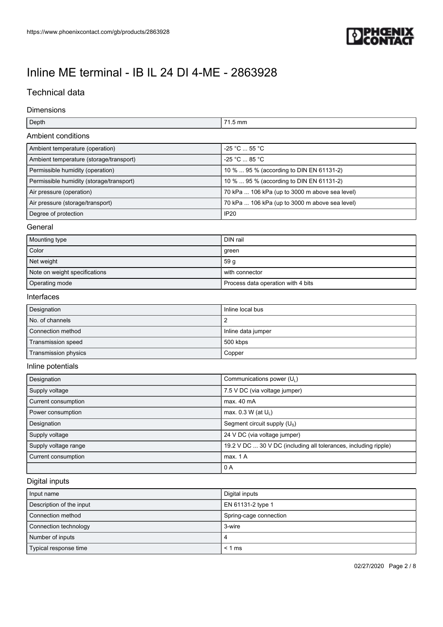

## Technical data

Dimensions

| Depth                                    | 71.5 mm                                                         |  |
|------------------------------------------|-----------------------------------------------------------------|--|
| Ambient conditions                       |                                                                 |  |
| Ambient temperature (operation)          | -25 °C  55 °C                                                   |  |
| Ambient temperature (storage/transport)  | -25 °C  85 °C                                                   |  |
| Permissible humidity (operation)         | 10 %  95 % (according to DIN EN 61131-2)                        |  |
| Permissible humidity (storage/transport) | 10 %  95 % (according to DIN EN 61131-2)                        |  |
| Air pressure (operation)                 | 70 kPa  106 kPa (up to 3000 m above sea level)                  |  |
| Air pressure (storage/transport)         | 70 kPa  106 kPa (up to 3000 m above sea level)                  |  |
| Degree of protection                     | <b>IP20</b>                                                     |  |
| General                                  |                                                                 |  |
| Mounting type                            | DIN rail                                                        |  |
| Color                                    | green                                                           |  |
| Net weight                               | 59 <sub>g</sub>                                                 |  |
| Note on weight specifications            | with connector                                                  |  |
| Operating mode                           | Process data operation with 4 bits                              |  |
| Interfaces                               |                                                                 |  |
| Designation                              | Inline local bus                                                |  |
| No. of channels                          | $\overline{2}$                                                  |  |
| Connection method                        | Inline data jumper                                              |  |
| Transmission speed                       | 500 kbps                                                        |  |
| Transmission physics                     | Copper                                                          |  |
| Inline potentials                        |                                                                 |  |
| Designation                              | Communications power (UL)                                       |  |
| Supply voltage                           | 7.5 V DC (via voltage jumper)                                   |  |
| Current consumption                      | max. 40 mA                                                      |  |
| Power consumption                        | max. 0.3 W (at UL)                                              |  |
| Designation                              | Segment circuit supply (U <sub>s</sub> )                        |  |
| Supply voltage                           | 24 V DC (via voltage jumper)                                    |  |
| Supply voltage range                     | 19.2 V DC  30 V DC (including all tolerances, including ripple) |  |
| Current consumption                      | max. 1 A                                                        |  |
|                                          | 0 A                                                             |  |
| Digital inputs                           |                                                                 |  |
| Input name                               | Digital inputs                                                  |  |
| Description of the input                 | EN 61131-2 type 1                                               |  |
| Connection method                        | Spring-cage connection                                          |  |

| <b>CONNICCION INCLICU</b> | ophily-caye comiculum |
|---------------------------|-----------------------|
| Connection technology     | 3-wire                |
| Number of inputs          | $\epsilon$            |
| Typical response time     | $< 1$ ms              |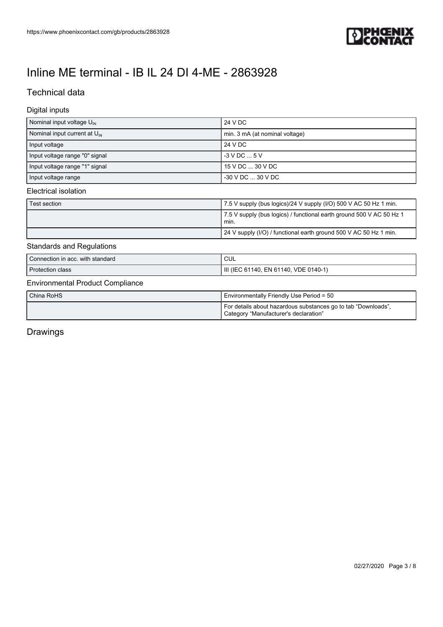

## Technical data

#### Digital inputs

| Nominal input voltage $U_{\text{IN}}$    | 24 V DC                                                              |
|------------------------------------------|----------------------------------------------------------------------|
| Nominal input current at $U_{\text{IN}}$ | min. 3 mA (at nominal voltage)                                       |
| Input voltage                            | 24 V DC                                                              |
| Input voltage range "0" signal           | $-3$ V DC $$ 5 V                                                     |
| Input voltage range "1" signal           | 15 V DC  30 V DC                                                     |
| Input voltage range                      | -30 V DC  30 V DC                                                    |
| Electrical isolation                     |                                                                      |
| Test section                             | 7.5 V supply (bus logics)/24 V supply (I/O) 500 V AC 50 Hz 1 min.    |
|                                          | 7.5 V supply (bus logics) / functional earth ground 500 V AC 50 Hz 1 |

## min. 24 V supply (I/O) / functional earth ground 500 V AC 50 Hz 1 min.

#### Standards and Regulations

| Connection in acc. with standard | CUL                                   |
|----------------------------------|---------------------------------------|
| Protection class                 | III (IEC 61140, EN 61140, VDE 0140-1) |
|                                  |                                       |

### Environmental Product Compliance

| China RoHS | <b>I</b> Environmentally Friendly Use Period = 50                                                      |
|------------|--------------------------------------------------------------------------------------------------------|
|            | For details about hazardous substances go to tab "Downloads",<br>Category "Manufacturer's declaration" |

## Drawings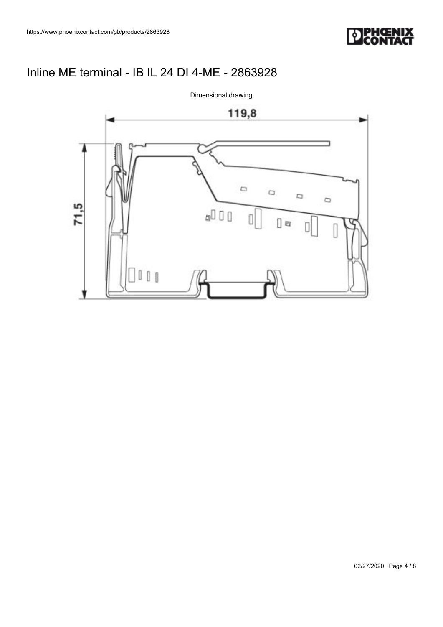



Dimensional drawing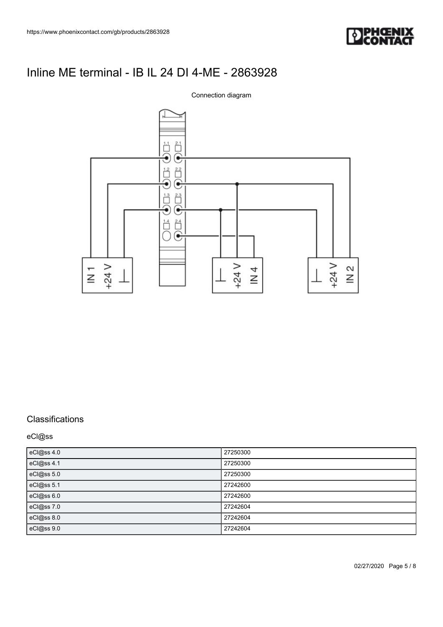



### **Classifications**

eCl@ss

| eCl@ss 4.0 | 27250300 |
|------------|----------|
| eCl@ss 4.1 | 27250300 |
| eCl@ss 5.0 | 27250300 |
| eCl@ss 5.1 | 27242600 |
| eCl@ss 6.0 | 27242600 |
| eCl@ss 7.0 | 27242604 |
| eCl@ss 8.0 | 27242604 |
| eCl@ss 9.0 | 27242604 |

02/27/2020 Page 5 / 8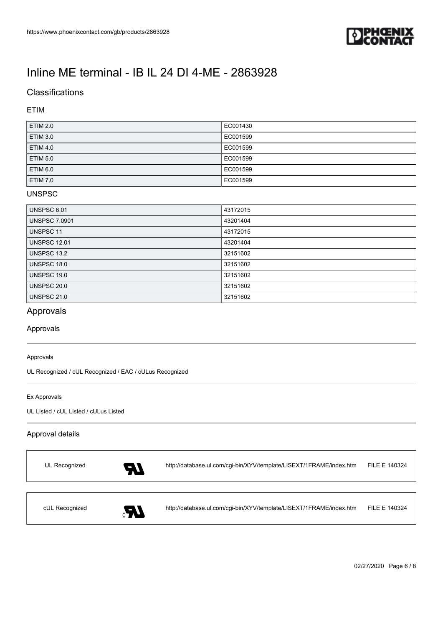

## **Classifications**

### ETIM

| <b>ETIM 2.0</b> | EC001430 |
|-----------------|----------|
| <b>ETIM 3.0</b> | EC001599 |
| <b>ETIM 4.0</b> | EC001599 |
| <b>ETIM 5.0</b> | EC001599 |
| ETIM 6.0        | EC001599 |
| <b>ETIM 7.0</b> | EC001599 |

### UNSPSC

| <b>UNSPSC 6.01</b>   | 43172015 |
|----------------------|----------|
| <b>UNSPSC 7.0901</b> | 43201404 |
| UNSPSC 11            | 43172015 |
| <b>UNSPSC 12.01</b>  | 43201404 |
| UNSPSC 13.2          | 32151602 |
| UNSPSC 18.0          | 32151602 |
| UNSPSC 19.0          | 32151602 |
| UNSPSC 20.0          | 32151602 |
| <b>UNSPSC 21.0</b>   | 32151602 |

## Approvals

Approvals

#### Approvals

UL Recognized / cUL Recognized / EAC / cULus Recognized

#### Ex Approvals

 $\overline{1}$ 

UL Listed / cUL Listed / cULus Listed

#### Approval details

| UL Recognized  | 57           | http://database.ul.com/cgi-bin/XYV/template/LISEXT/1FRAME/index.htm | FILE E 140324 |
|----------------|--------------|---------------------------------------------------------------------|---------------|
|                |              |                                                                     |               |
| cUL Recognized | $\mathbf{A}$ | http://database.ul.com/cgi-bin/XYV/template/LISEXT/1FRAME/index.htm | FILE E 140324 |

02/27/2020 Page 6 / 8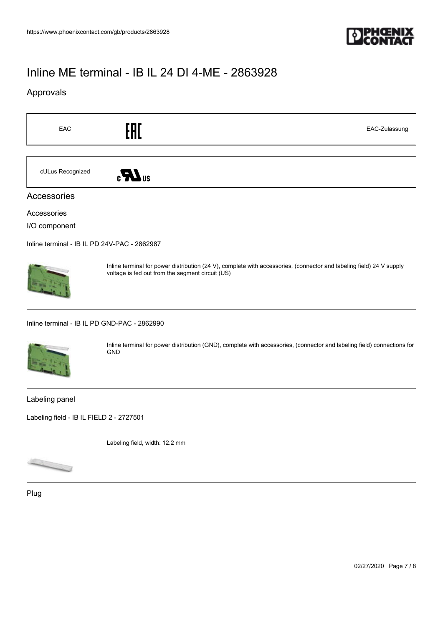

## Approvals

| EAC                                          | EAC<br>EAC-Zulassung                                                                                                                                                     |
|----------------------------------------------|--------------------------------------------------------------------------------------------------------------------------------------------------------------------------|
| cULus Recognized                             | $\epsilon$ <b>N</b> <sub>us</sub>                                                                                                                                        |
| Accessories                                  |                                                                                                                                                                          |
| Accessories<br>I/O component                 |                                                                                                                                                                          |
| Inline terminal - IB IL PD 24V-PAC - 2862987 |                                                                                                                                                                          |
|                                              | Inline terminal for power distribution (24 V), complete with accessories, (connector and labeling field) 24 V supply<br>voltage is fed out from the segment circuit (US) |
| Inline terminal - IB IL PD GND-PAC - 2862990 |                                                                                                                                                                          |
|                                              | Inline terminal for power distribution (GND), complete with accessories, (connector and labeling field) connections for<br><b>GND</b>                                    |
| Labeling panel                               |                                                                                                                                                                          |
| Labeling field - IB IL FIELD 2 - 2727501     |                                                                                                                                                                          |

Labeling field, width: 12.2 mm



Plug